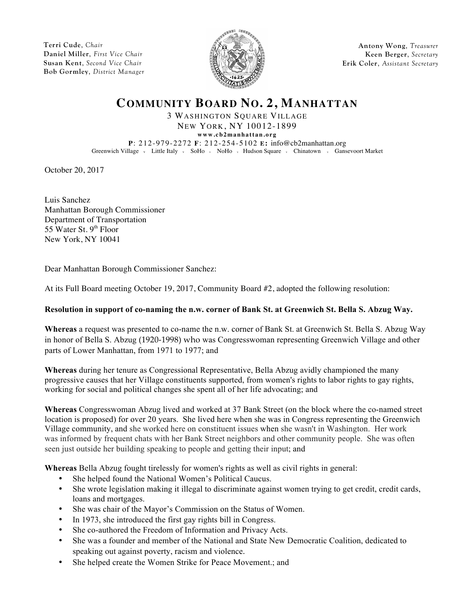**Terri Cude**, *Chair* **Daniel Miller**, *First Vice Chair* **Susan Kent**, *Second Vice Chair* **Bob Gormley**, *District Manager*



**Antony Wong**, *Treasurer* **Keen Berger**, *Secretary* **Erik Coler**, *Assistant Secretary*

## **COMMUNITY BOARD NO. 2, MANHATTAN**

3 WASHINGTON SQUARE VILLAGE NEW YORK, NY 10012-1899

**www.cb2manhattan.org P**: 212-979-2272 **F**: 212-254-5102 **E:** info@cb2manhattan.org Greenwich Village v Little Italy v SoHo v NoHo v Hudson Square v Chinatown v Gansevoort Market

October 20, 2017

Luis Sanchez Manhattan Borough Commissioner Department of Transportation 55 Water St.  $9<sup>th</sup>$  Floor New York, NY 10041

Dear Manhattan Borough Commissioner Sanchez:

At its Full Board meeting October 19, 2017, Community Board #2, adopted the following resolution:

## **Resolution in support of co-naming the n.w. corner of Bank St. at Greenwich St. Bella S. Abzug Way.**

**Whereas** a request was presented to co-name the n.w. corner of Bank St. at Greenwich St. Bella S. Abzug Way in honor of Bella S. Abzug (1920-1998) who was Congresswoman representing Greenwich Village and other parts of Lower Manhattan, from 1971 to 1977; and

**Whereas** during her tenure as Congressional Representative, Bella Abzug avidly championed the many progressive causes that her Village constituents supported, from women's rights to labor rights to gay rights, working for social and political changes she spent all of her life advocating; and

**Whereas** Congresswoman Abzug lived and worked at 37 Bank Street (on the block where the co-named street location is proposed) for over 20 years. She lived here when she was in Congress representing the Greenwich Village community, and she worked here on constituent issues when she wasn't in Washington. Her work was informed by frequent chats with her Bank Street neighbors and other community people. She was often seen just outside her building speaking to people and getting their input; and

**Whereas** Bella Abzug fought tirelessly for women's rights as well as civil rights in general:

- She helped found the National Women's Political Caucus.
- She wrote legislation making it illegal to discriminate against women trying to get credit, credit cards, loans and mortgages.
- She was chair of the Mayor's Commission on the Status of Women.
- In 1973, she introduced the first gay rights bill in Congress.
- She co-authored the Freedom of Information and Privacy Acts.
- She was a founder and member of the National and State New Democratic Coalition, dedicated to speaking out against poverty, racism and violence.
- She helped create the Women Strike for Peace Movement.; and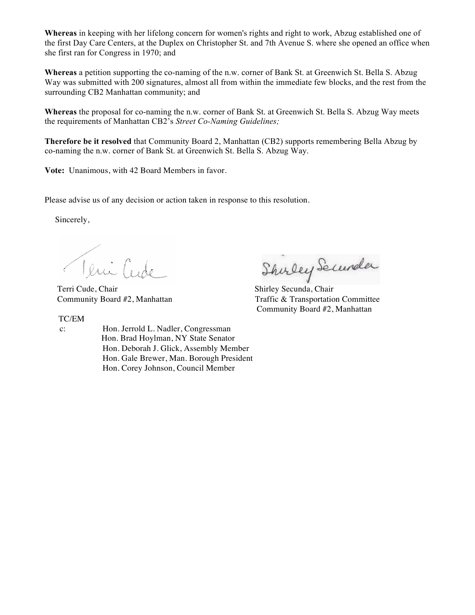**Whereas** in keeping with her lifelong concern for women's rights and right to work, Abzug established one of the first Day Care Centers, at the Duplex on Christopher St. and 7th Avenue S. where she opened an office when she first ran for Congress in 1970; and

**Whereas** a petition supporting the co-naming of the n.w. corner of Bank St. at Greenwich St. Bella S. Abzug Way was submitted with 200 signatures, almost all from within the immediate few blocks, and the rest from the surrounding CB2 Manhattan community; and

**Whereas** the proposal for co-naming the n.w. corner of Bank St. at Greenwich St. Bella S. Abzug Way meets the requirements of Manhattan CB2's *Street Co-Naming Guidelines;*

**Therefore be it resolved** that Community Board 2, Manhattan (CB2) supports remembering Bella Abzug by co-naming the n.w. corner of Bank St. at Greenwich St. Bella S. Abzug Way.

**Vote:** Unanimous, with 42 Board Members in favor.

Please advise us of any decision or action taken in response to this resolution.

Sincerely,

Teni Cude Shirley Secundar<br>Terri Cude, Chair Shirley Secunda, Chair

TC/EM

 c: Hon. Jerrold L. Nadler, Congressman Hon. Brad Hoylman, NY State Senator Hon. Deborah J. Glick, Assembly Member Hon. Gale Brewer, Man. Borough President Hon. Corey Johnson, Council Member

Community Board #2, Manhattan Traffic & Transportation Committee Community Board #2, Manhattan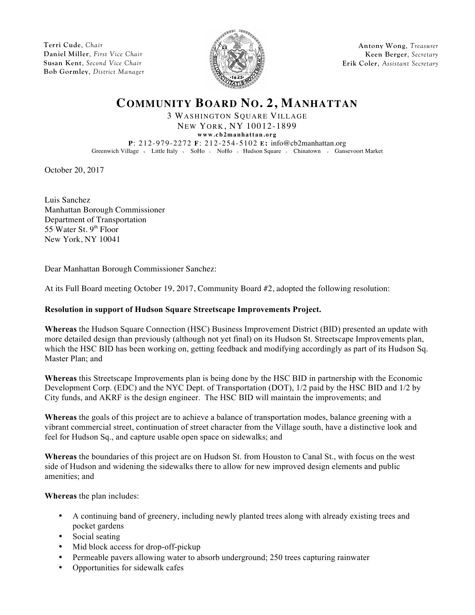**Terri Cude**, *Chair* **Daniel Miller**, *First Vice Chair* **Susan Kent**, *Second Vice Chair* **Bob Gormley**, *District Manager*



**Antony Wong**, *Treasurer* **Keen Berger**, *Secretary* **Erik Coler**, *Assistant Secretary*

## **COMMUNITY BOARD NO. 2, MANHATTAN**

3 WASHINGTON SQUARE VILLAGE NEW YORK, NY 10012-1899

**www.cb2manhattan.org**

**P**: 212-979-2272 **F**: 212-254-5102 **E:** info@cb2manhattan.org Greenwich Village v Little Italy v SoHo v NoHo v Hudson Square v Chinatown v Gansevoort Market

October 20, 2017

Luis Sanchez Manhattan Borough Commissioner Department of Transportation 55 Water St.  $9<sup>th</sup>$  Floor New York, NY 10041

Dear Manhattan Borough Commissioner Sanchez:

At its Full Board meeting October 19, 2017, Community Board #2, adopted the following resolution:

## **Resolution in support of Hudson Square Streetscape Improvements Project.**

**Whereas** the Hudson Square Connection (HSC) Business Improvement District (BID) presented an update with more detailed design than previously (although not yet final) on its Hudson St. Streetscape Improvements plan, which the HSC BID has been working on, getting feedback and modifying accordingly as part of its Hudson Sq. Master Plan; and

**Whereas** this Streetscape Improvements plan is being done by the HSC BID in partnership with the Economic Development Corp. (EDC) and the NYC Dept. of Transportation (DOT), 1/2 paid by the HSC BID and 1/2 by City funds, and AKRF is the design engineer. The HSC BID will maintain the improvements; and

**Whereas** the goals of this project are to achieve a balance of transportation modes, balance greening with a vibrant commercial street, continuation of street character from the Village south, have a distinctive look and feel for Hudson Sq., and capture usable open space on sidewalks; and

**Whereas** the boundaries of this project are on Hudson St. from Houston to Canal St., with focus on the west side of Hudson and widening the sidewalks there to allow for new improved design elements and public amenities; and

**Whereas** the plan includes:

- A continuing band of greenery, including newly planted trees along with already existing trees and pocket gardens
- Social seating
- Mid block access for drop-off-pickup
- Permeable pavers allowing water to absorb underground; 250 trees capturing rainwater
- Opportunities for sidewalk cafes